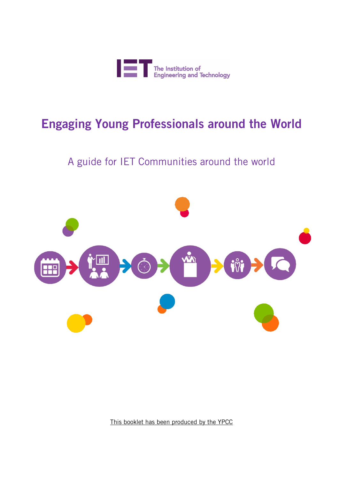

# Engaging Young Professionals around the World

A guide for IET Communities around the world



This booklet has been produced by the YPCC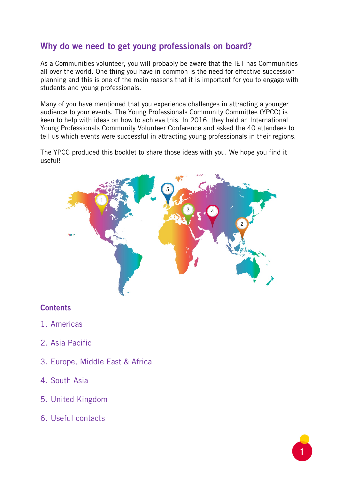# Why do we need to get young professionals on board?

As a Communities volunteer, you will probably be aware that the IET has Communities all over the world. One thing you have in common is the need for effective succession planning and this is one of the main reasons that it is important for you to engage with students and young professionals.

Many of you have mentioned that you experience challenges in attracting a younger audience to your events. The Young Professionals Community Committee (YPCC) is keen to help with ideas on how to achieve this. In 2016, they held an International Young Professionals Community Volunteer Conference and asked the 40 attendees to tell us which events were successful in attracting young professionals in their regions.

The YPCC produced this booklet to share those ideas with you. We hope you find it useful!



## **Contents**

- 1. Americas
- 2. Asia Pacific
- 3. Europe, Middle East & Africa
- 4. South Asia
- 5. United Kingdom
- 6. Useful contacts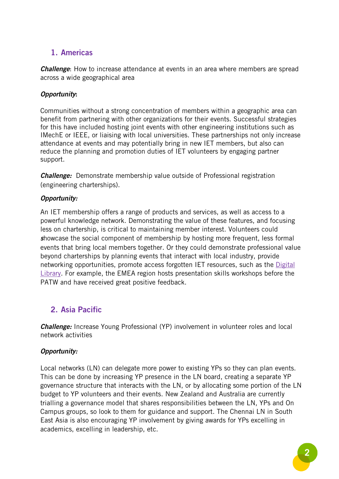# 1. Americas

*Challenge*: How to increase attendance at events in an area where members are spread across a wide geographical area

## *Opportunity*:

Communities without a strong concentration of members within a geographic area can benefit from partnering with other organizations for their events. Successful strategies for this have included hosting joint events with other engineering institutions such as IMechE or IEEE, or liaising with local universities. These partnerships not only increase attendance at events and may potentially bring in new IET members, but also can reduce the planning and promotion duties of IET volunteers by engaging partner support.

*Challenge:* Demonstrate membership value outside of Professional registration (engineering charterships).

## *Opportunity:*

An IET membership offers a range of products and services, as well as access to a powerful knowledge network. Demonstrating the value of these features, and focusing less on chartership, is critical to maintaining member interest. Volunteers could *s*howcase the social component of membership by hosting more frequent, less formal events that bring local members together. Or they could demonstrate professional value beyond charterships by planning events that interact with local industry, provide networking opportunities, promote access forgotten IET resources, such as the [Digital](http://digital-library.theiet.org/)  [Library.](http://digital-library.theiet.org/) For example, the EMEA region hosts presentation skills workshops before the PATW and have received great positive feedback.

# 2. Asia Pacific

**Challenge:** Increase Young Professional (YP) involvement in volunteer roles and local network activities

## *Opportunity:*

Local networks (LN) can delegate more power to existing YPs so they can plan events. This can be done by increasing YP presence in the LN board, creating a separate YP governance structure that interacts with the LN, or by allocating some portion of the LN budget to YP volunteers and their events. New Zealand and Australia are currently trialling a governance model that shares responsibilities between the LN, YPs and On Campus groups, so look to them for guidance and support. The Chennai LN in South East Asia is also encouraging YP involvement by giving awards for YPs excelling in academics, excelling in leadership, etc.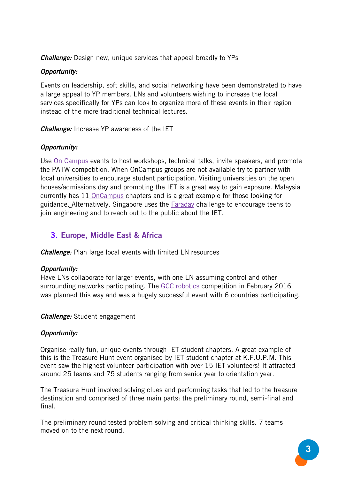*Challenge:* Design new, unique services that appeal broadly to YPs

### *Opportunity:*

Events on leadership, soft skills, and social networking have been demonstrated to have a large appeal to YP members. LNs and volunteers wishing to increase the local services specifically for YPs can look to organize more of these events in their region instead of the more traditional technical lectures.

*Challenge:* Increase YP awareness of the IET

#### *Opportunity:*

Use On [Campus](http://www.theiet.org/students/you-and-iet/on-campus/index.cfm?origin=on-campus) events to host workshops, technical talks, invite speakers, and promote the PATW competition. When OnCampus groups are not available try to partner with local universities to encourage student participation. Visiting universities on the open houses/admissions day and promoting the IET is a great way to gain exposure. Malaysia currently has 11 [OnCampus](http://www.theiet.org/students/you-and-iet/on-campus/index.cfm?origin=on-campus) chapters and is a great example for those looking for guidance. Alternatively, Singapore uses the [Faraday](http://faraday.theiet.org/) challenge to encourage teens to join engineering and to reach out to the public about the IET.

# 3. Europe, Middle East & Africa

*Challenge:* Plan large local events with limited LN resources

#### *Opportunity:*

Have LNs collaborate for larger events, with one LN assuming control and other surrounding networks participating. The [GCC robotics](http://www.gccroboticschallenge.com/index.html) competition in February 2016 was planned this way and was a hugely successful event with 6 countries participating.

#### *Challenge:* Student engagement

#### *Opportunity:*

Organise really fun, unique events through IET student chapters. A great example of this is the Treasure Hunt event organised by IET student chapter at K.F.U.P.M. This event saw the highest volunteer participation with over 15 IET volunteers! It attracted around 25 teams and 75 students ranging from senior year to orientation year.

The Treasure Hunt involved solving clues and performing tasks that led to the treasure destination and comprised of three main parts: the preliminary round, semi-final and final.

The preliminary round tested problem solving and critical thinking skills. 7 teams moved on to the next round.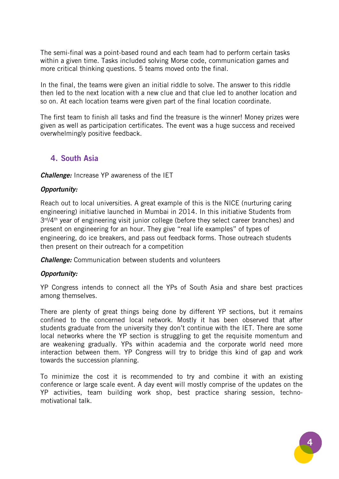The semi-final was a point-based round and each team had to perform certain tasks within a given time. Tasks included solving Morse code, communication games and more critical thinking questions. 5 teams moved onto the final.

In the final, the teams were given an initial riddle to solve. The answer to this riddle then led to the next location with a new clue and that clue led to another location and so on. At each location teams were given part of the final location coordinate.

The first team to finish all tasks and find the treasure is the winner! Money prizes were given as well as participation certificates. The event was a huge success and received overwhelmingly positive feedback.

## 4. South Asia

*Challenge:* Increase YP awareness of the IET

#### *Opportunity:*

Reach out to local universities. A great example of this is the NICE (nurturing caring engineering) initiative launched in Mumbai in 2014. In this initiative Students from  $3<sup>rd</sup>/4<sup>th</sup>$  year of engineering visit junior college (before they select career branches) and present on engineering for an hour. They give "real life examples" of types of engineering, do ice breakers, and pass out feedback forms. Those outreach students then present on their outreach for a competition

*Challenge:* Communication between students and volunteers

#### *Opportunity:*

YP Congress intends to connect all the YPs of South Asia and share best practices among themselves.

There are plenty of great things being done by different YP sections, but it remains confined to the concerned local network. Mostly it has been observed that after students graduate from the university they don't continue with the IET. There are some local networks where the YP section is struggling to get the requisite momentum and are weakening gradually. YPs within academia and the corporate world need more interaction between them. YP Congress will try to bridge this kind of gap and work towards the succession planning.

To minimize the cost it is recommended to try and combine it with an existing conference or large scale event. A day event will mostly comprise of the updates on the YP activities, team building work shop, best practice sharing session, technomotivational talk.

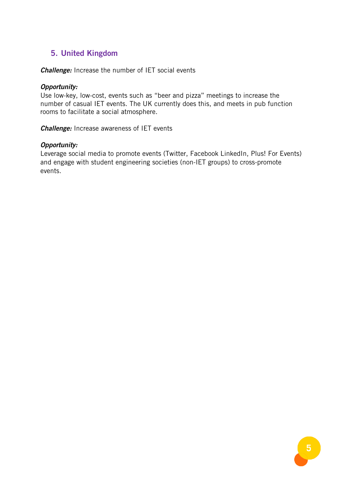## 5. United Kingdom

*Challenge:* Increase the number of IET social events

#### *Opportunity:*

Use low-key, low-cost, events such as "beer and pizza" meetings to increase the number of casual IET events. The UK currently does this, and meets in pub function rooms to facilitate a social atmosphere.

*Challenge:* Increase awareness of IET events

#### *Opportunity:*

Leverage social media to promote events (Twitter, Facebook LinkedIn, Plus! For Events) and engage with student engineering societies (non-IET groups) to cross-promote events.